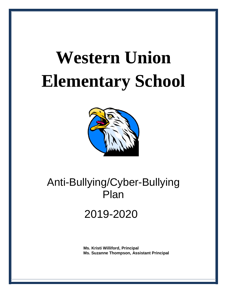# **Western Union Elementary School**



# Anti-Bullying/Cyber-Bullying Plan

# 2019-2020

 **Ms. Kristi Williford, Principal Ms. Suzanne Thompson, Assistant Principal**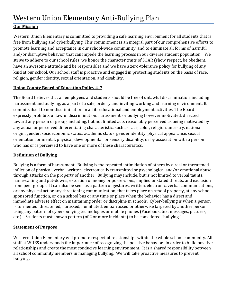# **Our Mission**

Western Union Elementary is committed to providing a safe learning environment for all students that is free from bullying and cyberbullying. This commitment is an integral part of our comprehensive efforts to promote learning and acceptance in our school-wide community, and to eliminate all forms of harmful and/or disruptive behavior that can impede the learning process in our diverse student population. We strive to adhere to our school rules, we honor the character traits of SOAR (show respect, be obedient, have an awesome attitude and be responsible) and we have a zero-tolerance policy for bullying of any kind at our school. Our school staff is proactive and engaged in protecting students on the basis of race, religion, gender identity, sexual orientation, and disability.

## **Union County Board of Education Policy 4-7**

The Board believes that all employees and students should be free of unlawful discrimination, including harassment and bullying, as a part of a safe, orderly and inviting working and learning environment. It commits itself to non-discrimination in all its educational and employment activities. The Board expressly prohibits unlawful discrimination, harassment, or bullying however motivated, directed toward any person or group, including, but not limited acts reasonably perceived as being motivated by any actual or perceived differentiating characteristic, such as race, color, religion, ancestry, national origin, gender, socioeconomic status, academic status, gender identity, physical appearance, sexual orientation, or mental, physical, developmental, or sensory disability, or by association with a person who has or is perceived to have one or more of these characteristics.

## **Definition of Bullying**

Bullying is a form of harassment. Bullying is the repeated intimidation of others by a real or threatened infliction of physical, verbal, written, electronically transmitted or psychological and/or emotional abuse through attacks on the property of another. Bullying may include, but is not limited to verbal taunts, name-calling and put-downs, extortion of money or possessions, implied or stated threats, and exclusion from peer groups. It can also be seen as a pattern of gestures, written, electronic, verbal communications, or any physical act or any threatening communication, that takes place on school property, at any schoolsponsored function, or on a school bus or any time or place when the behavior has a direct and immediate adverse effect on maintaining order or discipline in schools. Cyber-bullying is when a person is tormented, threatened, harassed, humiliated, embarrassed or otherwise targeted by another person using any pattern of cyber-bullying technologies or mobile phones (Facebook, text messages, pictures, etc.). Students must show a pattern (of 2 or more incidents) to be considered "bullying."

# **Statement of Purpose**

Western Union Elementary will promote respectful relationships within the whole school community. All staff at WUES understands the importance of recognizing the positive behaviors in order to build positive relationships and create the most conducive learning environment. It is a shared responsibility between all school community members in managing bullying. We will take proactive measures to prevent bullying.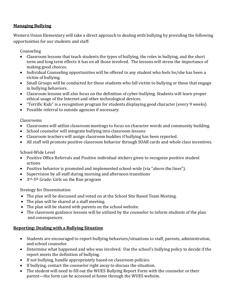#### **Managing Bullying**

Western Union Elementary will take a direct approach to dealing with bullying by providing the following opportunities for our students and staff:

Counseling

- Classroom lessons that teach students the types of bullying, the roles in bullying, and the short term and long term effects it has on all those involved. The lessons will stress the importance of making good choices.
- Individual Counseling opportunities will be offered to any student who feels he/she has been a victim of bullying.
- Small Groups will be conducted for those students who fall victim to bullying or those that engage in bullying behaviors.
- Classroom lessons will also focus on the definition of cyber-bullying. Students will learn proper ethical usage of the Internet and other technological devices.
- "Terrific Kids" is a recognition program for students displaying good character (every 9 weeks)
- Possible referral to outside agencies if necessary.

#### Classrooms

- Classrooms will utilize classroom meetings to focus on character words and community building.
- School counselor will integrate bullying into classroom lessons
- Classroom teachers will assign classroom buddies if bullying has been reported.
- All staff will promote positive classroom behavior through SOAR cards and whole class incentives.

School-Wide Level

- Positive Office Referrals and Positive individual stickers given to recognize positive student actions
- Positive behavior is promoted and implemented school-wide (via "above the lines").
- Supervision by all staff during morning and afternoon transitions
- 3<sup>rd</sup>-5<sup>th</sup> Grade: Girls on the Run program

Strategy for Dissemination

- The plan will be discussed and voted on at the School Site Based Team Meeting.
- The plan will be shared at a staff meeting.
- The plan will be shared with parents on the school website.
- The classroom guidance lessons will be utilized by the counselor to inform students of the plan and consequences.

## **Reporting: Dealing with a Bullying Situation**

- Students are encouraged to report bullying behaviors/situations to staff, parents, administration, and school counselor.
- Determine what happened and who was involved. Use the school's bullying policy to decide if the report meets the definition of bullying.
- If not bullying, handle appropriately based on classroom policies.
- If bullying, contact the counselor right away to discuss the situation.
- The student will need to fill out the WUES Bullying Report Form with the counselor or their parent—the form can be accessed at home through the WUES website.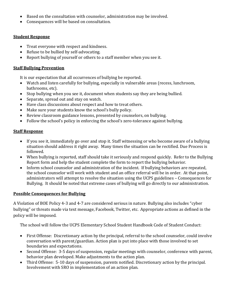- Based on the consultation with counselor, administration may be involved.
- Consequences will be based on consultation.

#### **Student Response**

- Treat everyone with respect and kindness.
- Refuse to be bullied by self-advocating.
- Report bullying of yourself or others to a staff member when you see it.

#### **Staff Bullying Prevention**

It is our expectation that all occurrences of bullying be reported.

- Watch and listen carefully for bullying, especially in vulnerable areas (recess, lunchroom, bathrooms, etc).
- Stop bullying when you see it, document when students say they are being bullied.
- Separate, spread out and stay on watch.
- Have class discussions about respect and how to treat others.
- Make sure your students know the school's bully policy.
- Review classroom guidance lessons, presented by counselors, on bullying.
- Follow the school's policy in enforcing the school's zero-tolerance against bullying.

#### **Staff Response**

- If you see it, immediately go over and stop it. Staff witnessing or who become aware of a bullying situation should address it right away. Many times the situation can be rectified. Due Process is followed.
- When bullying is reported, staff should take it seriously and respond quickly. Refer to the Bullying Report form and help the student complete the form to report the bullying behavior.
- Inform school counselor and administration of the incident. If bullying behaviors are repeated, the school counselor will work with student and an office referral will be in order. At that point, administrators will attempt to resolve the situation using the UCPS guidelines – Consequences for Bullying. It should be noted that extreme cases of bullying will go directly to our administration.

#### **Possible Consequences for Bullying**

A Violation of BOE Policy 4-3 and 4-7 are considered serious in nature. Bullying also includes "cyber bullying" or threats made via text message, Facebook, Twitter, etc. Appropriate actions as defined in the policy will be imposed.

The school will follow the UCPS Elementary School Student Handbook Code of Student Conduct:

- First Offense: Discretionary action by the principal, referral to the school counselor, could involve conversation with parent/guardian. Action plan is put into place with those involved to set boundaries and expectations.
- Second Offense: 3-5 days of suspension, regular meetings with counselor, conference with parent, behavior plan developed. Make adjustments to the action plan.
- Third Offense: 5-10 days of suspension, parents notified. Discretionary action by the principal. Involvement with SRO in implementation of an action plan.